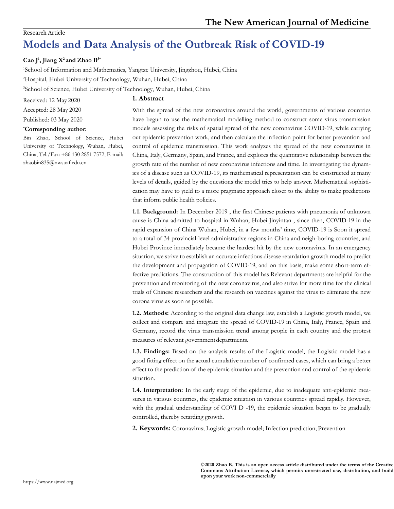# Research Article **Models and Data Analysis of the Outbreak Risk of COVID-19**

# **Cao J<sup>1</sup> , Jiang X<sup>2</sup>and Zhao B3\***

<sup>1</sup>School of Information and Mathematics, Yangtze University, Jingzhou, Hubei, China <sup>2</sup>Hospital, Hubei University of Technology, Wuhan, Hubei, China <sup>3</sup>School of Science, Hubei University of Technology, Wuhan, Hubei, China

Received: 12 May 2020

### **1. Abstract**

Accepted: 28 May 2020

# Published: 03 May 2020

## **\*Corresponding author:**

Bin Zhao, School of Science, Hubei University of Technology, Wuhan, Hubei, China, Tel./Fax: +86 130 2851 7572, E-mail: [zhaobin835@nwsuaf.edu.cn](mailto:zhaobin835@nwsuaf.edu.cn)

With the spread of the new coronavirus around the world, governments of various countries have begun to use the mathematical modelling method to construct some virus transmission models assessing the risks of spatial spread of the new coronavirus COVID-19, while carrying out epidemic prevention work, and then calculate the inflection point for better prevention and control of epidemic transmission. This work analyzes the spread of the new coronavirus in China, Italy, Germany, Spain, and France, and explores the quantitative relationship between the growth rate of the number of new coronavirus infections and time. In investigating the dynamics of a disease such as COVID-19, its mathematical representation can be constructed at many levels of details, guided by the questions the model tries to help answer. Mathematical sophistication may have to yield to a more pragmatic approach closer to the ability to make predictions that inform public health policies.

**1.1. Background:** In December 2019 , the first Chinese patients with pneumonia of unknown cause is China admitted to hospital in Wuhan, Hubei Jinyintan , since then, COVID-19 in the rapid expansion of China Wuhan, Hubei, in a few months' time, COVID-19 is Soon it spread to a total of 34 provincial-level administrative regions in China and neigh-boring countries, and Hubei Province immediately became the hardest hit by the new coronavirus. In an emergency situation, we strive to establish an accurate infectious disease retardation growth model to predict the development and propagation of COVID-19, and on this basis, make some short-term effective predictions. The construction of this model has Relevant departments are helpful for the prevention and monitoring of the new coronavirus, and also strive for more time for the clinical trials of Chinese researchers and the research on vaccines against the virus to eliminate the new corona virus as soon as possible.

**1.2. Methods:** According to the original data change law, establish a Logistic growth model, we collect and compare and integrate the spread of COVID-19 in China, Italy, France, Spain and Germany, record the virus transmission trend among people in each country and the protest measures of relevant governmentdepartments.

**1.3. Findings:** Based on the analysis results of the Logistic model, the Logistic model has a good fitting effect on the actual cumulative number of confirmed cases, which can bring a better effect to the prediction of the epidemic situation and the prevention and control of the epidemic situation.

**1.4. Interpretation:** In the early stage of the epidemic, due to inadequate anti-epidemic measures in various countries, the epidemic situation in various countries spread rapidly. However, with the gradual understanding of COVI D -19, the epidemic situation began to be gradually controlled, thereby retarding growth.

**2. Keywords:** Coronavirus; Logistic growth model; Infection prediction; Prevention

**©2020 Zhao B. This is an open access article distributed under the terms of the Creative Commons Attribution License, which permits unrestricted use, distribution, and build upon your work non-commercially**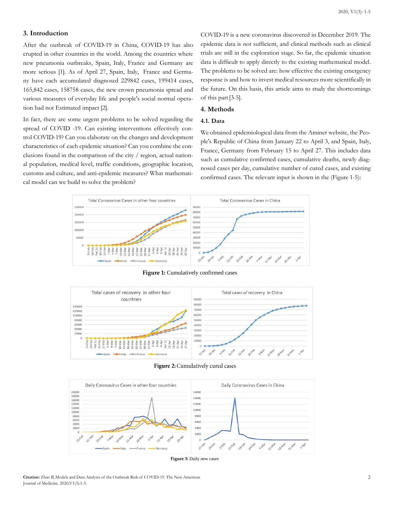### **3. Introduction**

After the outbreak of COVID-19 in China, COVID-19 has also erupted in other countries in the world. Among the countries where new pneumonia outbreaks, Spain, Italy, France and Germany are more serious [1]. As of April 27, Spain, Italy, France and Germany have each accumulated diagnosed 229842 cases, 199414 cases, 165,842 cases, 158758 cases, the new crown pneumonia spread and various measures of everyday life and people's social normal operation had not Estimated impact [2].

In fact, there are some urgent problems to be solved regarding the spread of COVID -19. Can existing interventions effectively control COVID-19? Can you elaborate on the changes and development characteristics of each epidemic situation? Can you combine the conclusions found in the comparison of the city / region, actual national population, medical level, traffic conditions, geographic location, customs and culture, and anti-epidemic measures? What mathematical model can we build to solve the problem?

COVID-19 is a new coronavirus discovered in December 2019. The epidemic data is not sufficient, and clinical methods such as clinical trials are still in the exploration stage. So far, the epidemic situation data is difficult to apply directly to the existing mathematical model. The problems to be solved are: how effective the existing emergency response is and how to invest medical resources more scientifically in the future. On this basis, this article aims to study the shortcomings of this part[3-5].

# **4. Methods**

# **4.1. Data**

We obtained epidemiological data from the Aminer website, the People's Republic of China from January 22 to April 3, and Spain, Italy, France, Germany from February 15 to April 27. This includes data such as cumulative confirmed cases, cumulative deaths, newly diagnosed cases per day, cumulative number of cured cases, and existing confirmed cases. The relevant input is shown in the (Figure 1-5):



 **Figure 1:** Cumulatively confirmed cases



Figure 2: Cumulatively cured cases



Figure 3: Daily new cases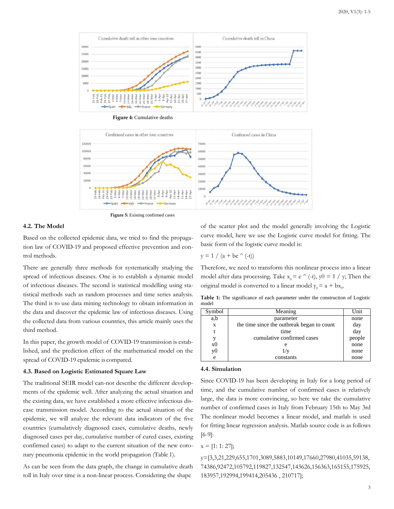

 **Figure 4:** Cumulative deaths



Figure 5: Existing confirmed cases

## **4.2. The Model**

Based on the collected epidemic data, we tried to find the propagation law of COVID-19 and proposed effective prevention and control methods.

There are generally three methods for systematically studying the spread of infectious diseases. One is to establish a dynamic model of infectious diseases. The second is statistical modelling using statistical methods such as random processes and time series analysis. The third is to use data mining technology to obtain information in the data and discover the epidemic law of infectious diseases. Using the collected data from various countries, this article mainly uses the third method.

In this paper, the growth model of COVID-19 transmission is established, and the prediction effect of the mathematical model on the spread of COVID-19 epidemic is compared.

#### **4.3. Based on Logistic Estimated Square Law**

The traditional SEIR model can-not describe the different developments of the epidemic well. After analyzing the actual situation and the existing data, we have established a more effective infectious disease transmission model. According to the actual situation of the epidemic, we will analyze the relevant data indicators of the five countries (cumulatively diagnosed cases, cumulative deaths, newly diagnosed cases per day, cumulative number of cured cases, existing confirmed cases) to adapt to the current situation of the new coronary pneumonia epidemic in the world propagation (Table 1).

As can be seen from the data graph, the change in cumulative death toll in Italy over time is a non-linear process. Considering the shape

of the scatter plot and the model generally involving the Logistic curve model, here we use the Logistic curve model for fitting. The basic form of the logistic curve model is:

$$
y = 1 / (a + be ^(-t))
$$

Therefore, we need to transform this nonlinear process into a linear model after data processing. Take  $x_0 = e^{\wedge} (-t)$ , y0 = 1 / y; Then the original model is converted to a linear model  $y_0 = a + bx_0$ .

Table 1: The significance of each parameter under the construction of Logistic model

| ymbol          | Meaning                                    | Jni    |
|----------------|--------------------------------------------|--------|
| a,b            | parameter                                  | none   |
| X              | the time since the outbreak began to count | day    |
|                | time                                       | day    |
|                | cumulative confirmed cases                 | people |
| x0             |                                            | none   |
| y <sub>0</sub> | 1/v                                        | none   |
| e              | constants                                  | none   |

#### **4.4. Simulation**

Since COVID-19 has been developing in Italy for a long period of time, and the cumulative number of confirmed cases is relatively large, the data is more convincing, so here we take the cumulative number of confirmed cases in Italy from February 15th to May 3rd The nonlinear model becomes a linear model, and matlab is used for fitting linear regression analysis. Matlab source code is as follows [6-9]:

 $x = [1: 1: 27];$ 

y=[3,3,21,229,655,1701,3089,5883,10149,17660,27980,41035,59138, 74386,92472,105792,119827,132547,143626,156363,165155,175925, 183957,192994,199414,205436 , 210717];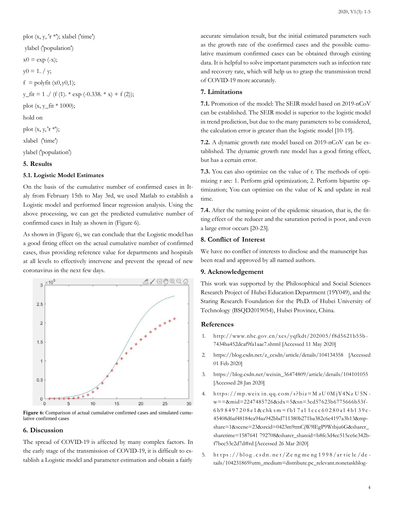plot (x, y, 'r \*'); xlabel ('time') ylabel ('population')  $x0 = exp(-x);$  $y0 = 1. / y;$  $f = \text{polyfit}(x0, y0,1);$  $y_{\text{fit}} = 1$ ./ (f (1). \* exp (-0.338. \* x) + f (2)); plot  $(x, y_{fit} * 1000);$ hold on plot  $(x, y, 'r^*)$ ; xlabel ('time') ylabel ('population')

#### **5. Results**

### **5.1. Logistic Model Estimates**

On the basis of the cumulative number of confirmed cases in Italy from February 15th to May 3rd, we used Matlab to establish a Logistic model and performed linear regression analysis. Using the above processing, we can get the predicted cumulative number of confirmed cases in Italy as shown in (Figure 6).

As shown in (Figure 6), we can conclude that the Logistic model has a good fitting effect on the actual cumulative number of confirmed cases, thus providing reference value for departments and hospitals at all levels to effectively intervene and prevent the spread of new coronavirus in the next few days.



Figure 6: Comparison of actual cumulative confirmed cases and simulated cumulative confirmed cases

### **6. Discussion**

The spread of COVID-19 is affected by many complex factors. In the early stage of the transmission of COVID-19, it is difficult to establish a Logistic model and parameter estimation and obtain a fairly

accurate simulation result, but the initial estimated parameters such as the growth rate of the confirmed cases and the possible cumulative maximum confirmed cases can be obtained through existing data. It is helpful to solve important parameters such as infection rate and recovery rate, which will help us to grasp the transmission trend of COVID-19 more accurately.

# **7. Limitations**

**7.1.** Promotion of the model: The SEIR model based on 2019-nCoV can be established. The SEIR model is superior to the logistic model in trend prediction, but due to the many parameters to be considered, the calculation error is greater than the logistic model [10-19].

**7.2.** A dynamic growth rate model based on 2019-nCoV can be established. The dynamic growth rate model has a good fitting effect, but has a certain error.

**7.3.** You can also optimize on the value of r. The methods of optimizing r are: 1. Perform grid optimization; 2. Perform bipartite optimization; You can optimize on the value of K and update in real time.

**7.4.** After the turning point of the epidemic situation, that is, the fitting effect of the reducer and the saturation period is poor, and even a large error occurs [20-23].

# **8. Conflict of Interest**

We have no conflict of interests to disclose and the manuscript has been read and approved by all named authors.

# **9. Acknowledgement**

This work was supported by the Philosophical and Social Sciences Research Project of Hubei Education Department (19Y049), and the Staring Research Foundation for the Ph.D. of Hubei University of Technology (BSQD2019054), Hubei Province, China.

### **References**

- 1. <http://www.nhc.gov.cn/xcs/yqfkdt/202005/f8d5621b55b->7434ba452dcaf9fa1aae7.shtml [Accessed 11 May 2020]
- 2. https://blog.csdn.net/z\_ccsdn/article/details/104134358 [Accessed 01 Feb 2020]
- 3. https://blog.csdn.net/weixin\_36474809/article/details/104101055 [Accessed 28 Jan 2020]
- 4. https://mp.weixin.qq.com/s?biz=M zU  $0M_1Y4N_z$  U 5N w==&mid=2247485726&idx=5&sn=3cd57623b6775666b53f-6 b 9 8 4 9 7 2 0 8 e 1 & c h k s m = f b 1 7 a 1 1 c c c 6 0 2 8 0 a 1 4 b 1 3 9 c -45408d6af48184ea94aa942bbd711380b271ba382c6e4197a3b13&mpshare=1&scene=23&srcid=0423m9tmCjW9lEgP9Wtbju6G&sharer\_ sharetime=1587641 792708&sharer\_shareid=b8fc3d4ec515cc6c342bf7bec53c2d7d#rd [Accessed 26 Mar 2020]
- 5. ht t ps : //blog.csdn.net/Ze ng me ng 1998/article/details/104231869?utm\_medium=distribute.pc\_relevant.nonetaskblog-